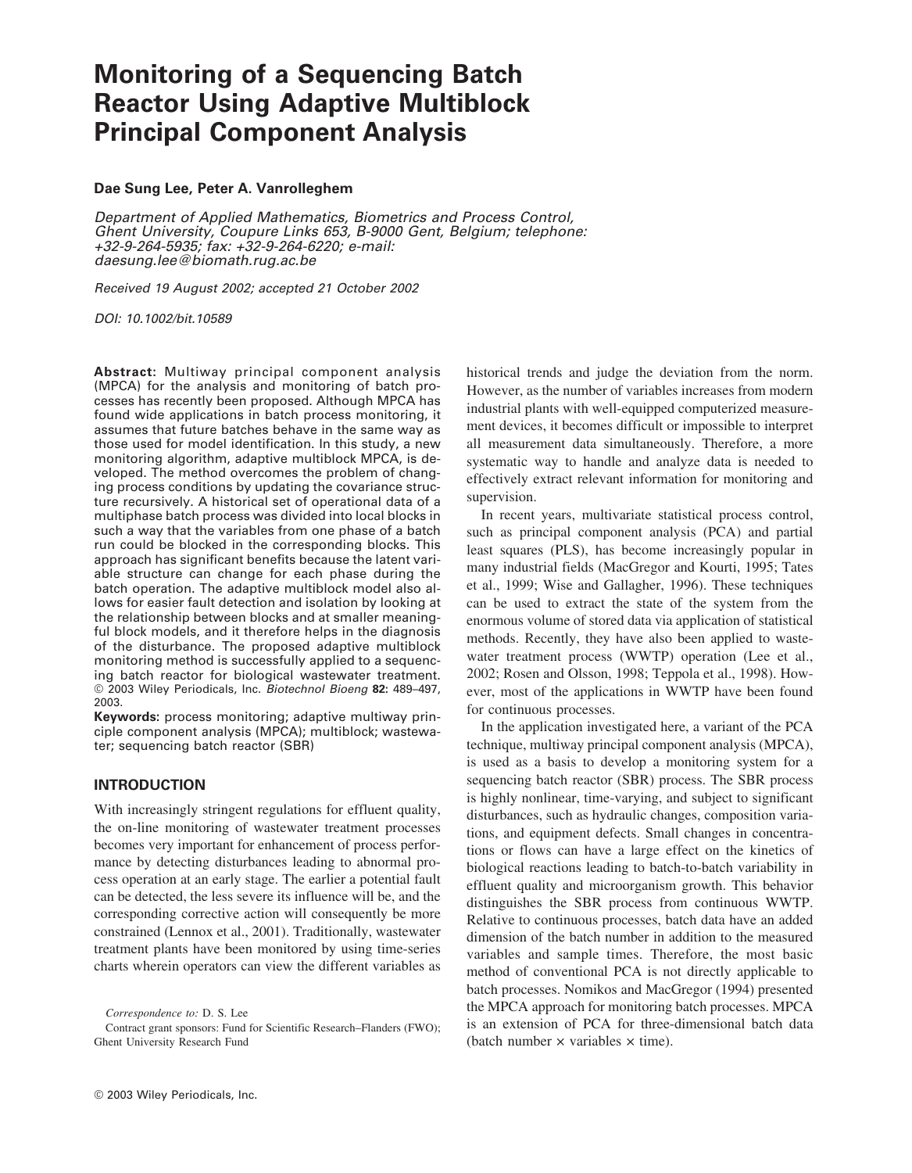# **Monitoring of a Sequencing Batch Reactor Using Adaptive Multiblock Principal Component Analysis**

# **Dae Sung Lee, Peter A. Vanrolleghem**

Department of Applied Mathematics, Biometrics and Process Control, Ghent University, Coupure Links 653, B-9000 Gent, Belgium; telephone: +32-9-264-5935; fax: +32-9-264-6220; e-mail: daesung.lee@biomath.rug.ac.be

Received 19 August 2002; accepted 21 October 2002

DOI: 10.1002/bit.10589

**Abstract:** Multiway principal component analysis (MPCA) for the analysis and monitoring of batch processes has recently been proposed. Although MPCA has found wide applications in batch process monitoring, it assumes that future batches behave in the same way as those used for model identification. In this study, a new monitoring algorithm, adaptive multiblock MPCA, is developed. The method overcomes the problem of changing process conditions by updating the covariance structure recursively. A historical set of operational data of a multiphase batch process was divided into local blocks in such a way that the variables from one phase of a batch run could be blocked in the corresponding blocks. This approach has significant benefits because the latent variable structure can change for each phase during the batch operation. The adaptive multiblock model also allows for easier fault detection and isolation by looking at the relationship between blocks and at smaller meaningful block models, and it therefore helps in the diagnosis of the disturbance. The proposed adaptive multiblock monitoring method is successfully applied to a sequencing batch reactor for biological wastewater treatment. © 2003 Wiley Periodicals, Inc. Biotechnol Bioeng **82:** 489–497, 2003.

**Keywords:** process monitoring; adaptive multiway principle component analysis (MPCA); multiblock; wastewater; sequencing batch reactor (SBR)

# **INTRODUCTION**

With increasingly stringent regulations for effluent quality, the on-line monitoring of wastewater treatment processes becomes very important for enhancement of process performance by detecting disturbances leading to abnormal process operation at an early stage. The earlier a potential fault can be detected, the less severe its influence will be, and the corresponding corrective action will consequently be more constrained (Lennox et al., 2001). Traditionally, wastewater treatment plants have been monitored by using time-series charts wherein operators can view the different variables as

Contract grant sponsors: Fund for Scientific Research–Flanders (FWO); Ghent University Research Fund

historical trends and judge the deviation from the norm. However, as the number of variables increases from modern industrial plants with well-equipped computerized measurement devices, it becomes difficult or impossible to interpret all measurement data simultaneously. Therefore, a more systematic way to handle and analyze data is needed to effectively extract relevant information for monitoring and supervision.

In recent years, multivariate statistical process control, such as principal component analysis (PCA) and partial least squares (PLS), has become increasingly popular in many industrial fields (MacGregor and Kourti, 1995; Tates et al., 1999; Wise and Gallagher, 1996). These techniques can be used to extract the state of the system from the enormous volume of stored data via application of statistical methods. Recently, they have also been applied to wastewater treatment process (WWTP) operation (Lee et al., 2002; Rosen and Olsson, 1998; Teppola et al., 1998). However, most of the applications in WWTP have been found for continuous processes.

In the application investigated here, a variant of the PCA technique, multiway principal component analysis (MPCA), is used as a basis to develop a monitoring system for a sequencing batch reactor (SBR) process. The SBR process is highly nonlinear, time-varying, and subject to significant disturbances, such as hydraulic changes, composition variations, and equipment defects. Small changes in concentrations or flows can have a large effect on the kinetics of biological reactions leading to batch-to-batch variability in effluent quality and microorganism growth. This behavior distinguishes the SBR process from continuous WWTP. Relative to continuous processes, batch data have an added dimension of the batch number in addition to the measured variables and sample times. Therefore, the most basic method of conventional PCA is not directly applicable to batch processes. Nomikos and MacGregor (1994) presented the MPCA approach for monitoring batch processes. MPCA is an extension of PCA for three-dimensional batch data (batch number  $\times$  variables  $\times$  time).

*Correspondence to:* D. S. Lee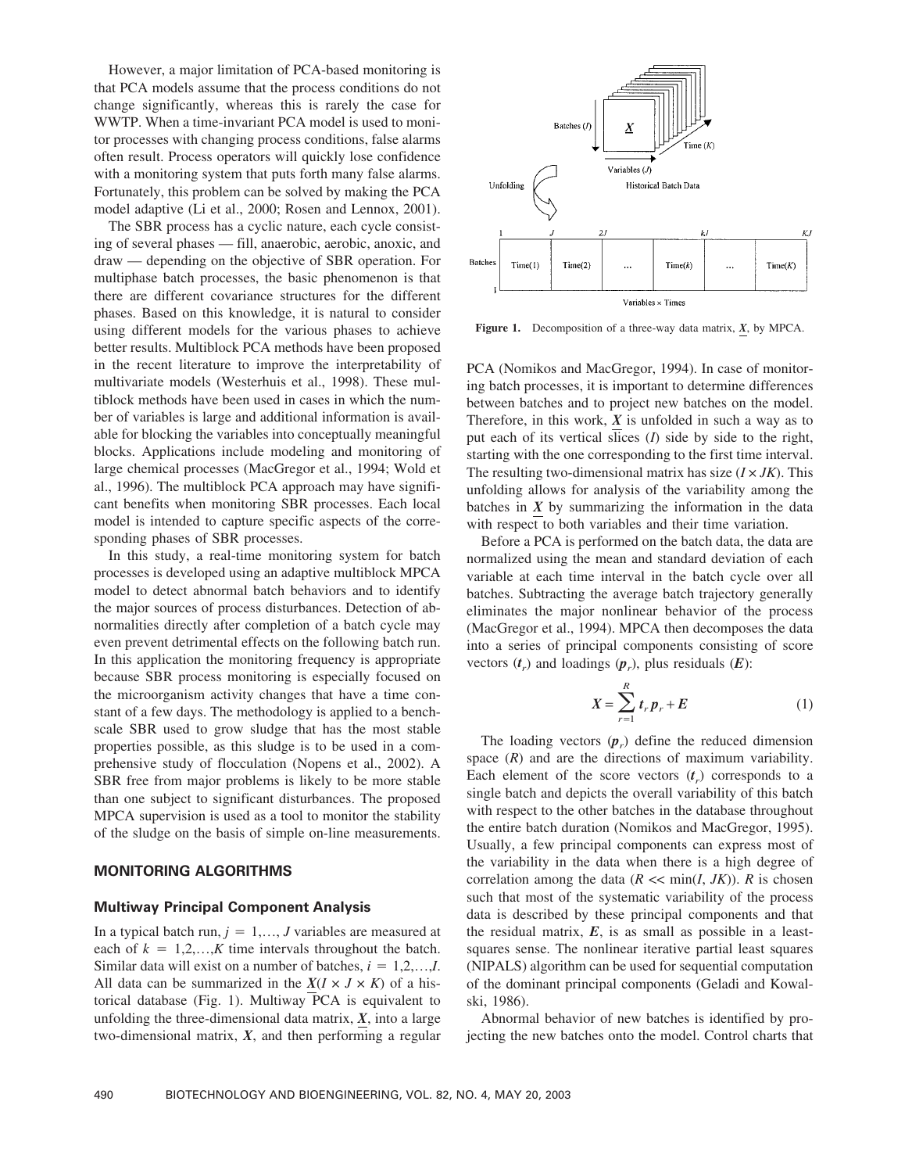However, a major limitation of PCA-based monitoring is that PCA models assume that the process conditions do not change significantly, whereas this is rarely the case for WWTP. When a time-invariant PCA model is used to monitor processes with changing process conditions, false alarms often result. Process operators will quickly lose confidence with a monitoring system that puts forth many false alarms. Fortunately, this problem can be solved by making the PCA model adaptive (Li et al., 2000; Rosen and Lennox, 2001).

The SBR process has a cyclic nature, each cycle consisting of several phases — fill, anaerobic, aerobic, anoxic, and draw — depending on the objective of SBR operation. For multiphase batch processes, the basic phenomenon is that there are different covariance structures for the different phases. Based on this knowledge, it is natural to consider using different models for the various phases to achieve better results. Multiblock PCA methods have been proposed in the recent literature to improve the interpretability of multivariate models (Westerhuis et al., 1998). These multiblock methods have been used in cases in which the number of variables is large and additional information is available for blocking the variables into conceptually meaningful blocks. Applications include modeling and monitoring of large chemical processes (MacGregor et al., 1994; Wold et al., 1996). The multiblock PCA approach may have significant benefits when monitoring SBR processes. Each local model is intended to capture specific aspects of the corresponding phases of SBR processes.

In this study, a real-time monitoring system for batch processes is developed using an adaptive multiblock MPCA model to detect abnormal batch behaviors and to identify the major sources of process disturbances. Detection of abnormalities directly after completion of a batch cycle may even prevent detrimental effects on the following batch run. In this application the monitoring frequency is appropriate because SBR process monitoring is especially focused on the microorganism activity changes that have a time constant of a few days. The methodology is applied to a benchscale SBR used to grow sludge that has the most stable properties possible, as this sludge is to be used in a comprehensive study of flocculation (Nopens et al., 2002). A SBR free from major problems is likely to be more stable than one subject to significant disturbances. The proposed MPCA supervision is used as a tool to monitor the stability of the sludge on the basis of simple on-line measurements.

## **MONITORING ALGORITHMS**

## **Multiway Principal Component Analysis**

In a typical batch run,  $j = 1, \ldots, J$  variables are measured at each of  $k = 1,2,...,K$  time intervals throughout the batch. Similar data will exist on a number of batches,  $i = 1,2,...,I$ . All data can be summarized in the  $X(I \times J \times K)$  of a historical database (Fig. 1). Multiway PCA is equivalent to unfolding the three-dimensional data matrix, *X*, into a large two-dimensional matrix, *X*, and then performing a regular



**Figure 1.** Decomposition of a three-way data matrix, *X*, by MPCA.

PCA (Nomikos and MacGregor, 1994). In case of monitoring batch processes, it is important to determine differences between batches and to project new batches on the model. Therefore, in this work,  $X$  is unfolded in such a way as to put each of its vertical slices (*I*) side by side to the right, starting with the one corresponding to the first time interval. The resulting two-dimensional matrix has size  $(I \times JK)$ . This unfolding allows for analysis of the variability among the batches in *X* by summarizing the information in the data with respect to both variables and their time variation.

Before a PCA is performed on the batch data, the data are normalized using the mean and standard deviation of each variable at each time interval in the batch cycle over all batches. Subtracting the average batch trajectory generally eliminates the major nonlinear behavior of the process (MacGregor et al., 1994). MPCA then decomposes the data into a series of principal components consisting of score vectors  $(t_r)$  and loadings  $(p_r)$ , plus residuals  $(E)$ :

$$
X = \sum_{r=1}^{R} t_r p_r + E
$$
 (1)

The loading vectors  $(p_r)$  define the reduced dimension space  $(R)$  and are the directions of maximum variability. Each element of the score vectors  $(t_r)$  corresponds to a single batch and depicts the overall variability of this batch with respect to the other batches in the database throughout the entire batch duration (Nomikos and MacGregor, 1995). Usually, a few principal components can express most of the variability in the data when there is a high degree of correlation among the data  $(R \ll \min(I, JK))$ . *R* is chosen such that most of the systematic variability of the process data is described by these principal components and that the residual matrix,  $E$ , is as small as possible in a leastsquares sense. The nonlinear iterative partial least squares (NIPALS) algorithm can be used for sequential computation of the dominant principal components (Geladi and Kowalski, 1986).

Abnormal behavior of new batches is identified by projecting the new batches onto the model. Control charts that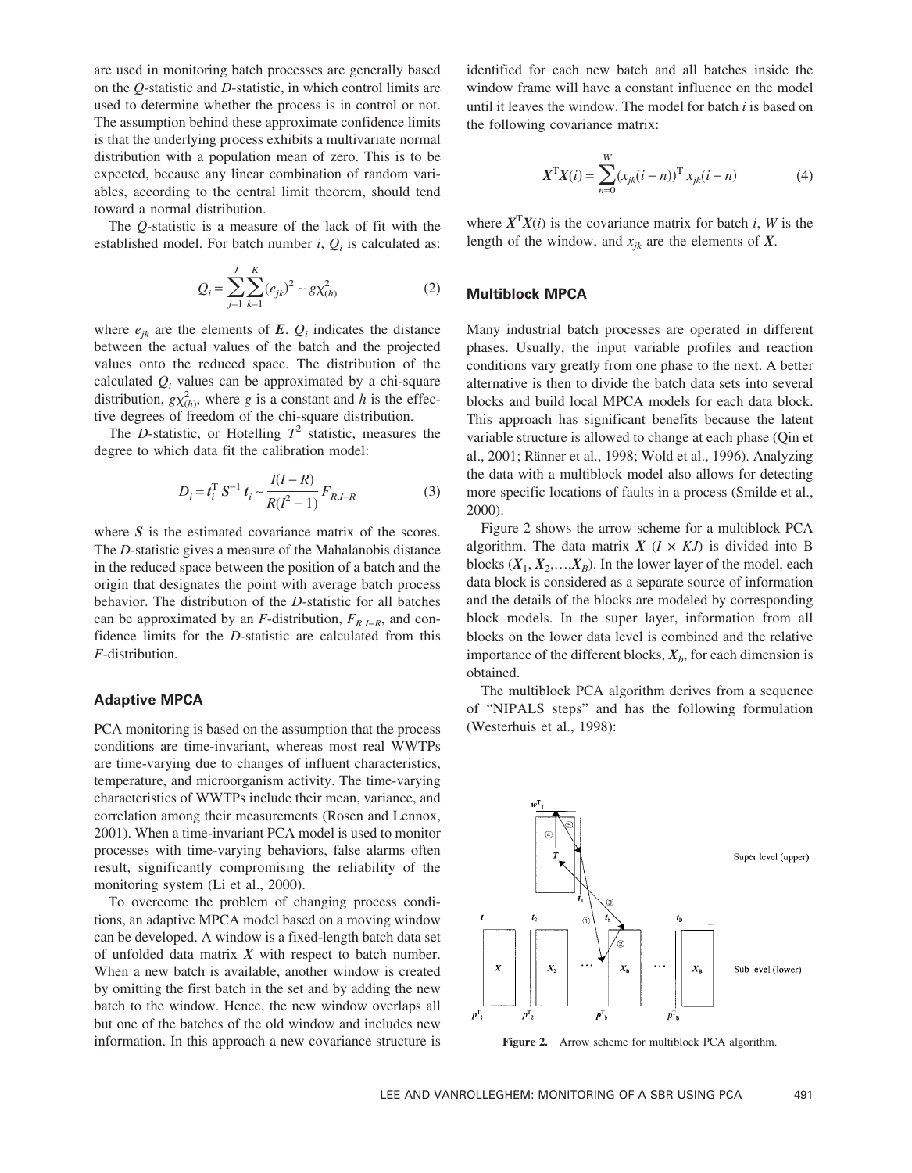are used in monitoring batch processes are generally based on the *Q*-statistic and *D*-statistic, in which control limits are used to determine whether the process is in control or not. The assumption behind these approximate confidence limits is that the underlying process exhibits a multivariate normal distribution with a population mean of zero. This is to be expected, because any linear combination of random variables, according to the central limit theorem, should tend toward a normal distribution.

The *Q*-statistic is a measure of the lack of fit with the established model. For batch number  $i$ ,  $Q_i$  is calculated as:

$$
Q_i = \sum_{j=1}^{J} \sum_{k=1}^{K} (e_{jk})^2 \sim g \chi^2_{(h)}
$$
 (2)

where  $e_{ik}$  are the elements of  $E$ .  $Q_i$  indicates the distance between the actual values of the batch and the projected values onto the reduced space. The distribution of the calculated  $Q_i$  values can be approximated by a chi-square distribution,  $g\chi^2_{(h)}$ , where *g* is a constant and *h* is the effective degrees of freedom of the chi-square distribution.

The *D*-statistic, or Hotelling  $T^2$  statistic, measures the degree to which data fit the calibration model:

$$
D_i = t_i^{\mathrm{T}} S^{-1} t_i \sim \frac{I(I - R)}{R(I^2 - 1)} F_{R, I - R}
$$
 (3)

where S is the estimated covariance matrix of the scores. The *D*-statistic gives a measure of the Mahalanobis distance in the reduced space between the position of a batch and the origin that designates the point with average batch process behavior. The distribution of the *D*-statistic for all batches can be approximated by an *F*-distribution,  $F_{R,I-R}$ , and confidence limits for the *D*-statistic are calculated from this *F*-distribution.

## **Adaptive MPCA**

PCA monitoring is based on the assumption that the process conditions are time-invariant, whereas most real WWTPs are time-varying due to changes of influent characteristics, temperature, and microorganism activity. The time-varying characteristics of WWTPs include their mean, variance, and correlation among their measurements (Rosen and Lennox, 2001). When a time-invariant PCA model is used to monitor processes with time-varying behaviors, false alarms often result, significantly compromising the reliability of the monitoring system (Li et al., 2000).

To overcome the problem of changing process conditions, an adaptive MPCA model based on a moving window can be developed. A window is a fixed-length batch data set of unfolded data matrix *X* with respect to batch number. When a new batch is available, another window is created by omitting the first batch in the set and by adding the new batch to the window. Hence, the new window overlaps all but one of the batches of the old window and includes new information. In this approach a new covariance structure is identified for each new batch and all batches inside the window frame will have a constant influence on the model until it leaves the window. The model for batch *i* is based on the following covariance matrix:

$$
X^{\mathrm{T}}X(i) = \sum_{n=0}^{W} (x_{jk}(i-n))^{\mathrm{T}} x_{jk}(i-n)
$$
 (4)

where  $X^T X(i)$  is the covariance matrix for batch *i*, *W* is the length of the window, and  $x_{jk}$  are the elements of  $X$ .

# **Multiblock MPCA**

Many industrial batch processes are operated in different phases. Usually, the input variable profiles and reaction conditions vary greatly from one phase to the next. A better alternative is then to divide the batch data sets into several blocks and build local MPCA models for each data block. This approach has significant benefits because the latent variable structure is allowed to change at each phase (Qin et al., 2001; Ränner et al., 1998; Wold et al., 1996). Analyzing the data with a multiblock model also allows for detecting more specific locations of faults in a process (Smilde et al., 2000).

Figure 2 shows the arrow scheme for a multiblock PCA algorithm. The data matrix  $X$  ( $I \times KJ$ ) is divided into B blocks  $(X_1, X_2,...,X_B)$ . In the lower layer of the model, each data block is considered as a separate source of information and the details of the blocks are modeled by corresponding block models. In the super layer, information from all blocks on the lower data level is combined and the relative importance of the different blocks,  $X_b$ , for each dimension is obtained.

The multiblock PCA algorithm derives from a sequence of "NIPALS steps" and has the following formulation (Westerhuis et al., 1998):



**Figure 2.** Arrow scheme for multiblock PCA algorithm.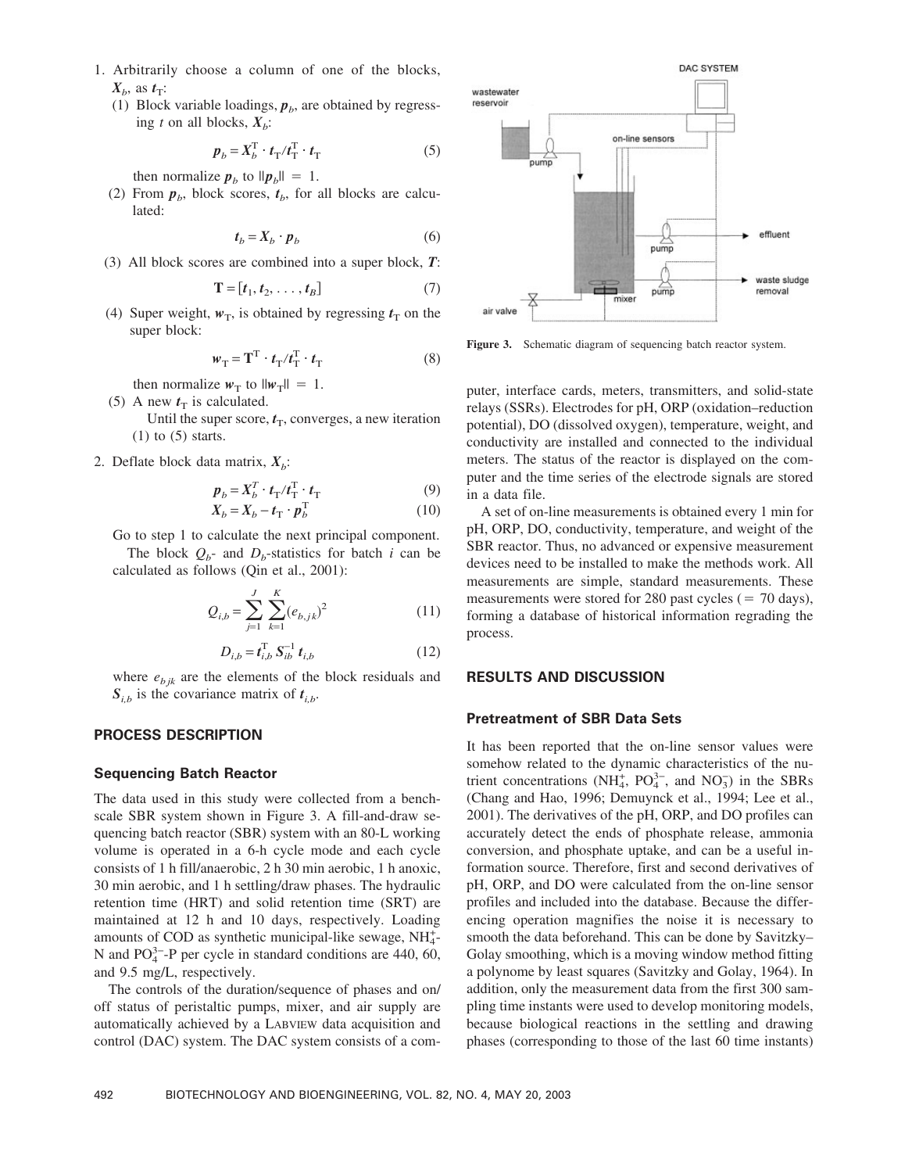- 1. Arbitrarily choose a column of one of the blocks,  $X_b$ , as  $t_T$ :
	- (1) Block variable loadings,  $\mathbf{p}_b$ , are obtained by regressing *t* on all blocks,  $X_b$ :

$$
\boldsymbol{p}_b = \boldsymbol{X}_b^{\mathrm{T}} \cdot \boldsymbol{t}_{\mathrm{T}} / \boldsymbol{t}_{\mathrm{T}}^{\mathrm{T}} \cdot \boldsymbol{t}_{\mathrm{T}} \tag{5}
$$

then normalize  $p_b$  to  $||p_b|| = 1$ .

(2) From  $p_b$ , block scores,  $t_b$ , for all blocks are calculated:

$$
t_b = X_b \cdot p_b \tag{6}
$$

(3) All block scores are combined into a super block, *T*:

$$
\mathbf{T} = [t_1, t_2, \dots, t_B]
$$
 (7)

(4) Super weight,  $w_T$ , is obtained by regressing  $t_T$  on the super block:

$$
w_{\rm T} = \mathbf{T}^{\rm T} \cdot t_{\rm T} / t_{\rm T}^{\rm T} \cdot t_{\rm T}
$$
 (8)

then normalize  $w_T$  to  $||w_T|| = 1$ .

- (5) A new  $t<sub>T</sub>$  is calculated.
	- Until the super score,  $t<sub>T</sub>$ , converges, a new iteration  $(1)$  to  $(5)$  starts.
- 2. Deflate block data matrix,  $X_b$ :

$$
\boldsymbol{p}_b = \boldsymbol{X}_b^T \cdot \boldsymbol{t}_T / \boldsymbol{t}_T^T \cdot \boldsymbol{t}_T \tag{9}
$$

$$
X_b = X_b - t_\text{T} \cdot p_b^\text{T} \tag{10}
$$

Go to step 1 to calculate the next principal component. The block  $Q_b$ - and  $D_b$ -statistics for batch *i* can be

calculated as follows (Qin et al., 2001):

$$
Q_{i,b} = \sum_{j=1}^{J} \sum_{k=1}^{K} (e_{b,j,k})^2
$$
 (11)

$$
D_{i,b} = \mathbf{t}_{i,b}^{\mathrm{T}} \mathbf{S}_{ib}^{-1} \mathbf{t}_{i,b} \tag{12}
$$

where  $e_{bjk}$  are the elements of the block residuals and  $S_{i,b}$  is the covariance matrix of  $t_{i,b}$ .

# **PROCESS DESCRIPTION**

#### **Sequencing Batch Reactor**

The data used in this study were collected from a benchscale SBR system shown in Figure 3. A fill-and-draw sequencing batch reactor (SBR) system with an 80-L working volume is operated in a 6-h cycle mode and each cycle consists of 1 h fill/anaerobic, 2 h 30 min aerobic, 1 h anoxic, 30 min aerobic, and 1 h settling/draw phases. The hydraulic retention time (HRT) and solid retention time (SRT) are maintained at 12 h and 10 days, respectively. Loading amounts of COD as synthetic municipal-like sewage, NH<sub>4</sub>-N and  $PO_4^{3-}$ -P per cycle in standard conditions are 440, 60, and 9.5 mg/L, respectively.

The controls of the duration/sequence of phases and on/ off status of peristaltic pumps, mixer, and air supply are automatically achieved by a LABVIEW data acquisition and control (DAC) system. The DAC system consists of a com-



**Figure 3.** Schematic diagram of sequencing batch reactor system.

puter, interface cards, meters, transmitters, and solid-state relays (SSRs). Electrodes for pH, ORP (oxidation–reduction potential), DO (dissolved oxygen), temperature, weight, and conductivity are installed and connected to the individual meters. The status of the reactor is displayed on the computer and the time series of the electrode signals are stored in a data file.

A set of on-line measurements is obtained every 1 min for pH, ORP, DO, conductivity, temperature, and weight of the SBR reactor. Thus, no advanced or expensive measurement devices need to be installed to make the methods work. All measurements are simple, standard measurements. These measurements were stored for 280 past cycles ( $= 70$  days), forming a database of historical information regrading the process.

# **RESULTS AND DISCUSSION**

## **Pretreatment of SBR Data Sets**

It has been reported that the on-line sensor values were somehow related to the dynamic characteristics of the nutrient concentrations (NH<sub>4</sub>, PO<sub>4</sub><sup>2</sup>, and NO<sub>3</sub>) in the SBRs (Chang and Hao, 1996; Demuynck et al., 1994; Lee et al., 2001). The derivatives of the pH, ORP, and DO profiles can accurately detect the ends of phosphate release, ammonia conversion, and phosphate uptake, and can be a useful information source. Therefore, first and second derivatives of pH, ORP, and DO were calculated from the on-line sensor profiles and included into the database. Because the differencing operation magnifies the noise it is necessary to smooth the data beforehand. This can be done by Savitzky– Golay smoothing, which is a moving window method fitting a polynome by least squares (Savitzky and Golay, 1964). In addition, only the measurement data from the first 300 sampling time instants were used to develop monitoring models, because biological reactions in the settling and drawing phases (corresponding to those of the last 60 time instants)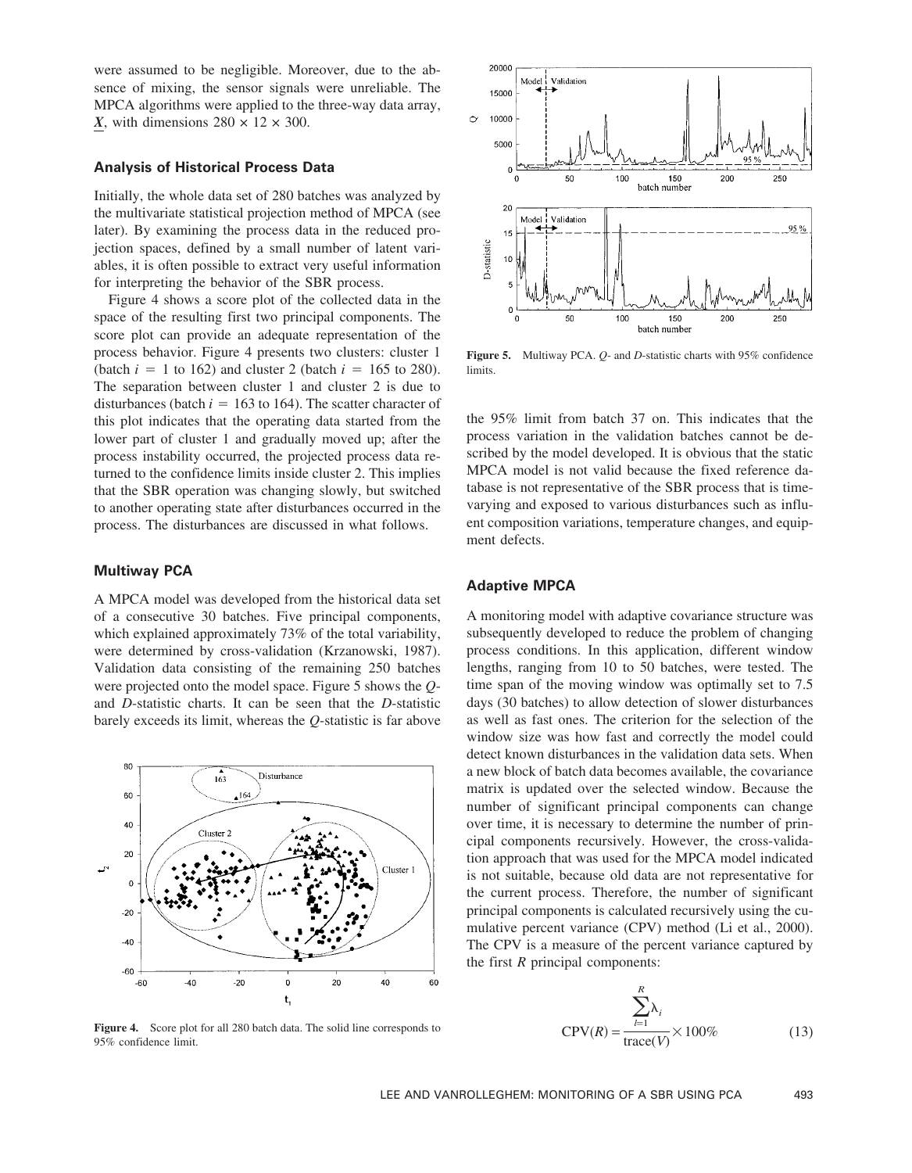were assumed to be negligible. Moreover, due to the absence of mixing, the sensor signals were unreliable. The MPCA algorithms were applied to the three-way data array, *X*, with dimensions  $280 \times 12 \times 300$ .

## **Analysis of Historical Process Data**

Initially, the whole data set of 280 batches was analyzed by the multivariate statistical projection method of MPCA (see later). By examining the process data in the reduced projection spaces, defined by a small number of latent variables, it is often possible to extract very useful information for interpreting the behavior of the SBR process.

Figure 4 shows a score plot of the collected data in the space of the resulting first two principal components. The score plot can provide an adequate representation of the process behavior. Figure 4 presents two clusters: cluster 1 (batch  $i = 1$  to 162) and cluster 2 (batch  $i = 165$  to 280). The separation between cluster 1 and cluster 2 is due to disturbances (batch  $i = 163$  to 164). The scatter character of this plot indicates that the operating data started from the lower part of cluster 1 and gradually moved up; after the process instability occurred, the projected process data returned to the confidence limits inside cluster 2. This implies that the SBR operation was changing slowly, but switched to another operating state after disturbances occurred in the process. The disturbances are discussed in what follows.

### **Multiway PCA**

A MPCA model was developed from the historical data set of a consecutive 30 batches. Five principal components, which explained approximately 73% of the total variability, were determined by cross-validation (Krzanowski, 1987). Validation data consisting of the remaining 250 batches were projected onto the model space. Figure 5 shows the *Q*and *D*-statistic charts. It can be seen that the *D*-statistic barely exceeds its limit, whereas the *Q*-statistic is far above





**Figure 5.** Multiway PCA. *Q*- and *D*-statistic charts with 95% confidence **limits** 

150

batch number

200

250

100

50

0

the 95% limit from batch 37 on. This indicates that the process variation in the validation batches cannot be described by the model developed. It is obvious that the static MPCA model is not valid because the fixed reference database is not representative of the SBR process that is timevarying and exposed to various disturbances such as influent composition variations, temperature changes, and equipment defects.

## **Adaptive MPCA**

A monitoring model with adaptive covariance structure was subsequently developed to reduce the problem of changing process conditions. In this application, different window lengths, ranging from 10 to 50 batches, were tested. The time span of the moving window was optimally set to 7.5 days (30 batches) to allow detection of slower disturbances as well as fast ones. The criterion for the selection of the window size was how fast and correctly the model could detect known disturbances in the validation data sets. When a new block of batch data becomes available, the covariance matrix is updated over the selected window. Because the number of significant principal components can change over time, it is necessary to determine the number of principal components recursively. However, the cross-validation approach that was used for the MPCA model indicated is not suitable, because old data are not representative for the current process. Therefore, the number of significant principal components is calculated recursively using the cumulative percent variance (CPV) method (Li et al., 2000). The CPV is a measure of the percent variance captured by the first *R* principal components:

$$
CPV(R) = \frac{\sum_{l=1}^{R} \lambda_i}{\text{trace}(V)} \times 100\%
$$
 (13)

Figure 4. Score plot for all 280 batch data. The solid line corresponds to 95% confidence limit.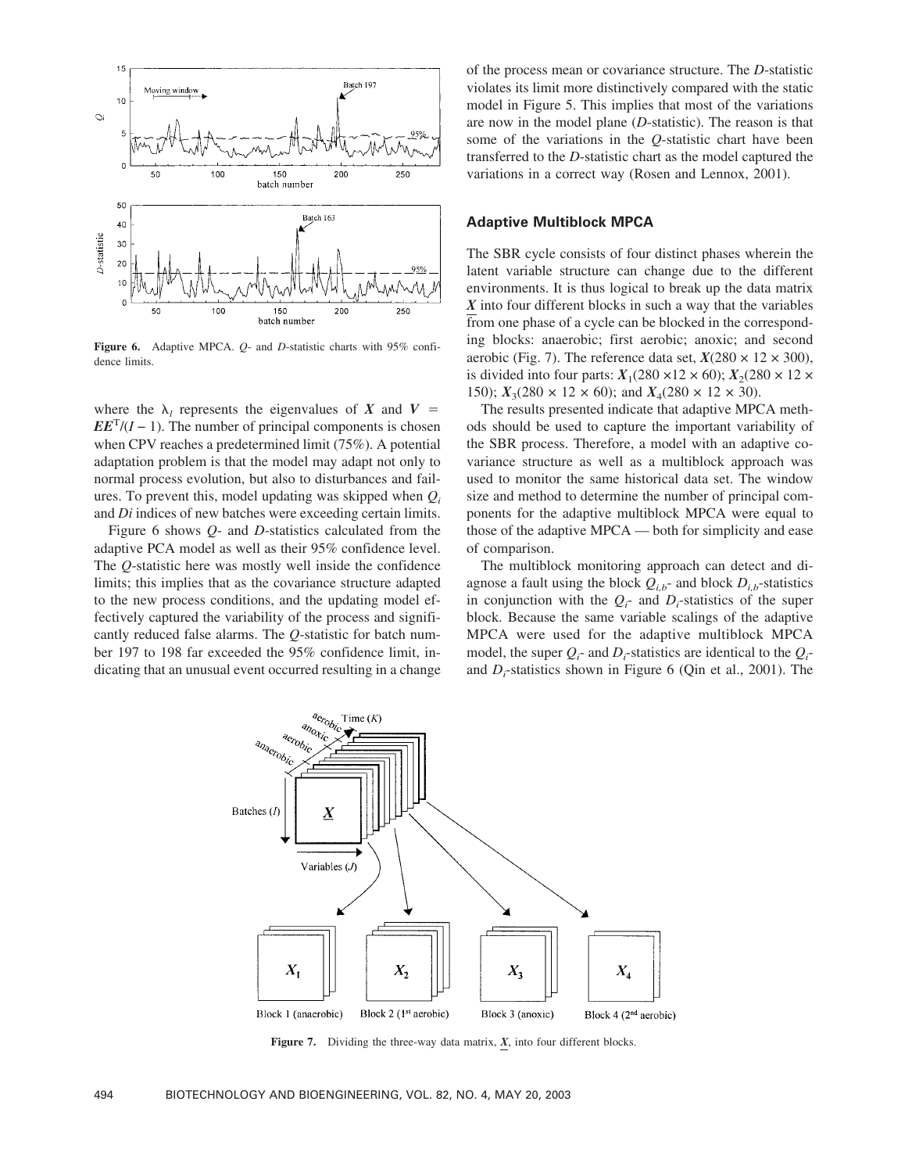

**Figure 6.** Adaptive MPCA. *Q*- and *D*-statistic charts with 95% confidence limits.

where the  $\lambda_i$  represents the eigenvalues of X and V =  $EE^{T}/(I-1)$ . The number of principal components is chosen when CPV reaches a predetermined limit (75%). A potential adaptation problem is that the model may adapt not only to normal process evolution, but also to disturbances and failures. To prevent this, model updating was skipped when *Qi* and *Di* indices of new batches were exceeding certain limits.

Figure 6 shows *Q*- and *D*-statistics calculated from the adaptive PCA model as well as their 95% confidence level. The *Q*-statistic here was mostly well inside the confidence limits; this implies that as the covariance structure adapted to the new process conditions, and the updating model effectively captured the variability of the process and significantly reduced false alarms. The *Q*-statistic for batch number 197 to 198 far exceeded the 95% confidence limit, indicating that an unusual event occurred resulting in a change

of the process mean or covariance structure. The *D*-statistic violates its limit more distinctively compared with the static model in Figure 5. This implies that most of the variations are now in the model plane (*D*-statistic). The reason is that some of the variations in the *Q*-statistic chart have been transferred to the *D*-statistic chart as the model captured the variations in a correct way (Rosen and Lennox, 2001).

#### **Adaptive Multiblock MPCA**

The SBR cycle consists of four distinct phases wherein the latent variable structure can change due to the different environments. It is thus logical to break up the data matrix *X* into four different blocks in such a way that the variables from one phase of a cycle can be blocked in the corresponding blocks: anaerobic; first aerobic; anoxic; and second aerobic (Fig. 7). The reference data set,  $X(280 \times 12 \times 300)$ , is divided into four parts:  $X_1(280 \times 12 \times 60)$ ;  $X_2(280 \times 12 \times$ 150);  $X_3(280 \times 12 \times 60)$ ; and  $X_4(280 \times 12 \times 30)$ .

The results presented indicate that adaptive MPCA methods should be used to capture the important variability of the SBR process. Therefore, a model with an adaptive covariance structure as well as a multiblock approach was used to monitor the same historical data set. The window size and method to determine the number of principal components for the adaptive multiblock MPCA were equal to those of the adaptive MPCA — both for simplicity and ease of comparison.

The multiblock monitoring approach can detect and diagnose a fault using the block  $Q_{i,b}$ - and block  $D_{i,b}$ -statistics in conjunction with the  $Q_i$ - and  $D_i$ -statistics of the super block. Because the same variable scalings of the adaptive MPCA were used for the adaptive multiblock MPCA model, the super  $Q_i$ - and  $D_i$ -statistics are identical to the  $Q_i$ and *D<sub>i</sub>*-statistics shown in Figure 6 (Qin et al., 2001). The



**Figure 7.** Dividing the three-way data matrix, *X*, into four different blocks.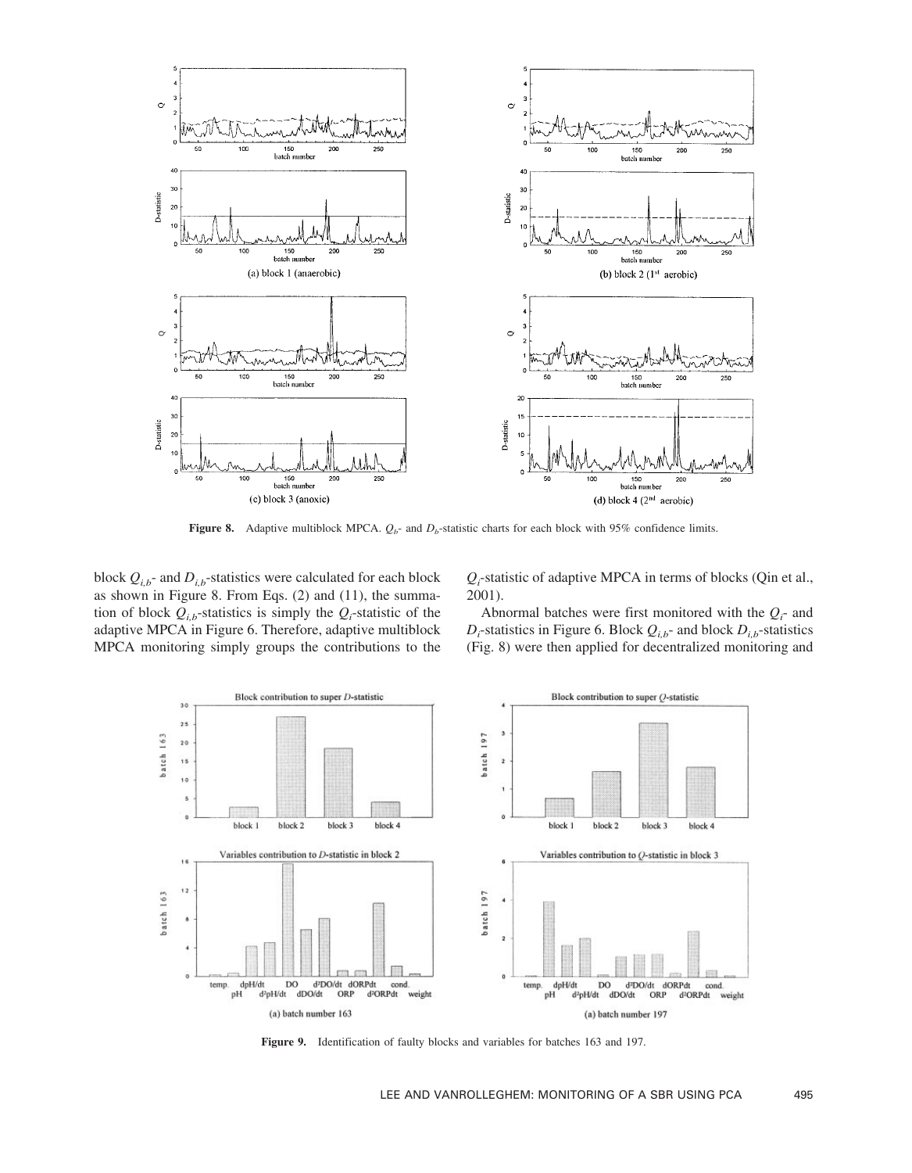

**Figure 8.** Adaptive multiblock MPCA.  $Q_b$ - and  $D_b$ -statistic charts for each block with 95% confidence limits.

block  $Q_{i,b}$ - and  $D_{i,b}$ -statistics were calculated for each block as shown in Figure 8. From Eqs. (2) and (11), the summation of block  $Q_{i,b}$ -statistics is simply the  $Q_i$ -statistic of the adaptive MPCA in Figure 6. Therefore, adaptive multiblock MPCA monitoring simply groups the contributions to the

*Qi* -statistic of adaptive MPCA in terms of blocks (Qin et al., 2001).

Abnormal batches were first monitored with the  $Q_i$ - and  $D_i$ -statistics in Figure 6. Block  $Q_{i,b}$ - and block  $D_{i,b}$ -statistics (Fig. 8) were then applied for decentralized monitoring and



**Figure 9.** Identification of faulty blocks and variables for batches 163 and 197.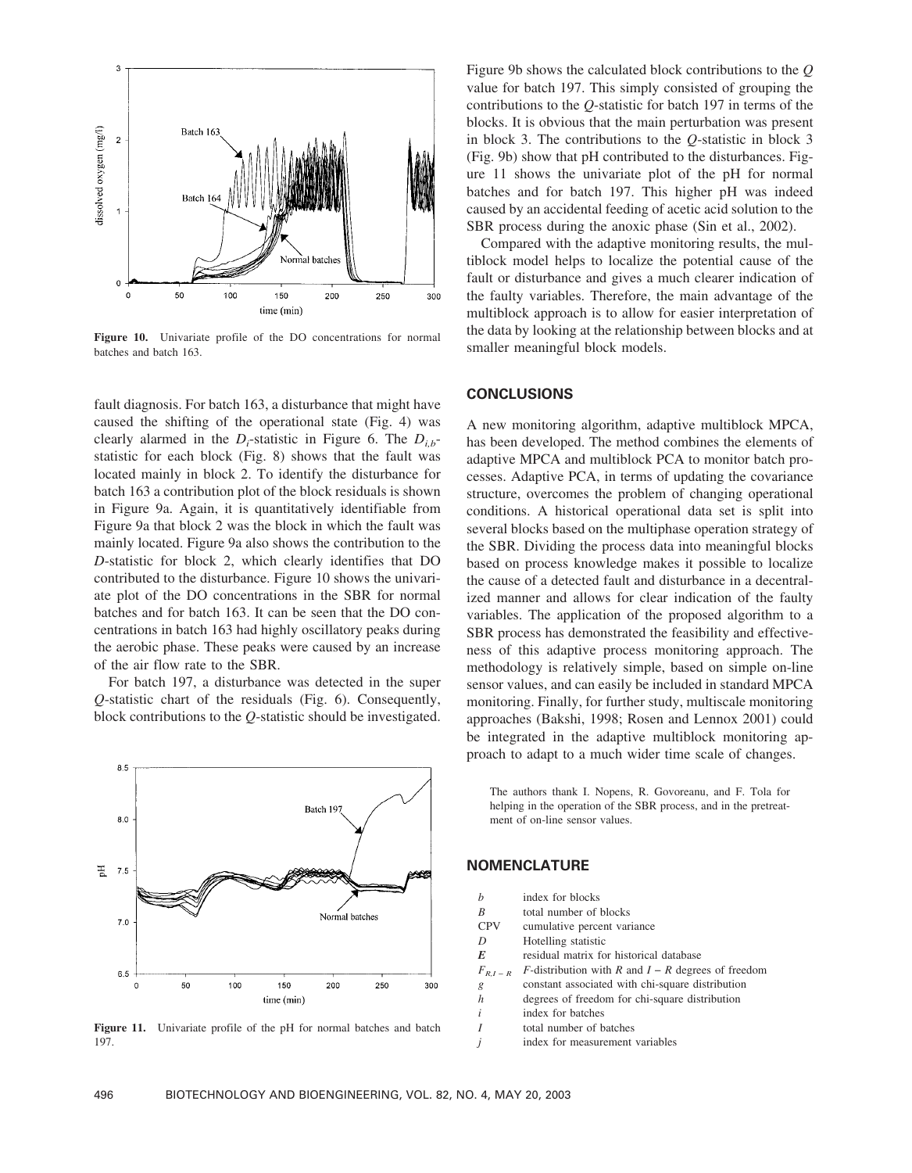

**Figure 10.** Univariate profile of the DO concentrations for normal batches and batch 163.

fault diagnosis. For batch 163, a disturbance that might have caused the shifting of the operational state (Fig. 4) was clearly alarmed in the  $D_i$ -statistic in Figure 6. The  $D_{i,b}$ statistic for each block (Fig. 8) shows that the fault was located mainly in block 2. To identify the disturbance for batch 163 a contribution plot of the block residuals is shown in Figure 9a. Again, it is quantitatively identifiable from Figure 9a that block 2 was the block in which the fault was mainly located. Figure 9a also shows the contribution to the *D*-statistic for block 2, which clearly identifies that DO contributed to the disturbance. Figure 10 shows the univariate plot of the DO concentrations in the SBR for normal batches and for batch 163. It can be seen that the DO concentrations in batch 163 had highly oscillatory peaks during the aerobic phase. These peaks were caused by an increase of the air flow rate to the SBR.

For batch 197, a disturbance was detected in the super *Q*-statistic chart of the residuals (Fig. 6). Consequently, block contributions to the *Q*-statistic should be investigated.



Figure 11. Univariate profile of the pH for normal batches and batch 197.

Figure 9b shows the calculated block contributions to the *Q* value for batch 197. This simply consisted of grouping the contributions to the *Q*-statistic for batch 197 in terms of the blocks. It is obvious that the main perturbation was present in block 3. The contributions to the *Q*-statistic in block 3 (Fig. 9b) show that pH contributed to the disturbances. Figure 11 shows the univariate plot of the pH for normal batches and for batch 197. This higher pH was indeed caused by an accidental feeding of acetic acid solution to the SBR process during the anoxic phase (Sin et al., 2002).

Compared with the adaptive monitoring results, the multiblock model helps to localize the potential cause of the fault or disturbance and gives a much clearer indication of the faulty variables. Therefore, the main advantage of the multiblock approach is to allow for easier interpretation of the data by looking at the relationship between blocks and at smaller meaningful block models.

#### **CONCLUSIONS**

A new monitoring algorithm, adaptive multiblock MPCA, has been developed. The method combines the elements of adaptive MPCA and multiblock PCA to monitor batch processes. Adaptive PCA, in terms of updating the covariance structure, overcomes the problem of changing operational conditions. A historical operational data set is split into several blocks based on the multiphase operation strategy of the SBR. Dividing the process data into meaningful blocks based on process knowledge makes it possible to localize the cause of a detected fault and disturbance in a decentralized manner and allows for clear indication of the faulty variables. The application of the proposed algorithm to a SBR process has demonstrated the feasibility and effectiveness of this adaptive process monitoring approach. The methodology is relatively simple, based on simple on-line sensor values, and can easily be included in standard MPCA monitoring. Finally, for further study, multiscale monitoring approaches (Bakshi, 1998; Rosen and Lennox 2001) could be integrated in the adaptive multiblock monitoring approach to adapt to a much wider time scale of changes.

The authors thank I. Nopens, R. Govoreanu, and F. Tola for helping in the operation of the SBR process, and in the pretreatment of on-line sensor values.

#### **NOMENCLATURE**

| b           | index for blocks                                             |
|-------------|--------------------------------------------------------------|
| B           | total number of blocks                                       |
| CPV         | cumulative percent variance                                  |
| D           | Hotelling statistic                                          |
| E           | residual matrix for historical database                      |
| $F_{R,I-R}$ | <i>F</i> -distribution with R and $I - R$ degrees of freedom |
| g           | constant associated with chi-square distribution             |
| h           | degrees of freedom for chi-square distribution               |
| i           | index for batches                                            |
| I           | total number of batches                                      |
| i           | index for measurement variables                              |